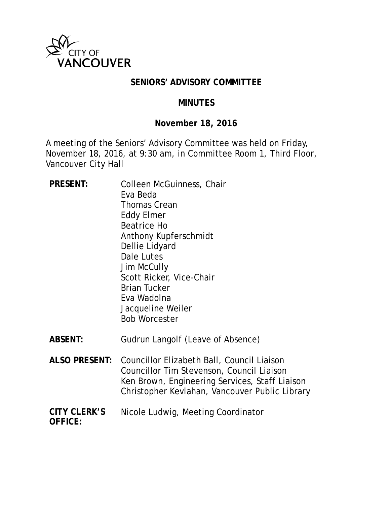

### **SENIORS' ADVISORY COMMITTEE**

#### **MINUTES**

### **November 18, 2016**

A meeting of the Seniors' Advisory Committee was held on Friday, November 18, 2016, at 9:30 am, in Committee Room 1, Third Floor, Vancouver City Hall

- PRESENT: Colleen McGuinness, Chair Eva Beda Thomas Crean Eddy Elmer Beatrice Ho Anthony Kupferschmidt Dellie Lidyard Dale Lutes Jim McCully Scott Ricker, Vice-Chair Brian Tucker Eva Wadolna Jacqueline Weiler Bob Worcester **ABSENT:** Gudrun Langolf (Leave of Absence)
- **ALSO PRESENT:** Councillor Elizabeth Ball, Council Liaison Councillor Tim Stevenson, Council Liaison Ken Brown, Engineering Services, Staff Liaison Christopher Kevlahan, Vancouver Public Library
- **CITY CLERK'S OFFICE:** Nicole Ludwig, Meeting Coordinator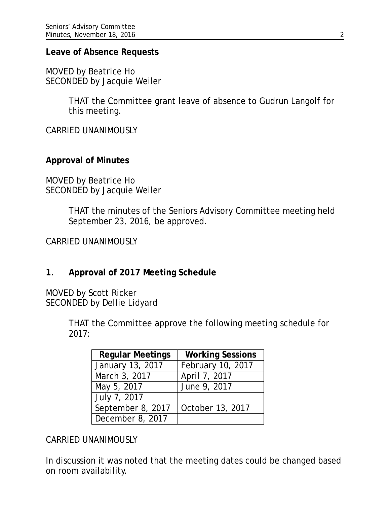#### **Leave of Absence Requests**

MOVED by Beatrice Ho SECONDED by Jacquie Weiler

> THAT the Committee grant leave of absence to Gudrun Langolf for this meeting.

CARRIED UNANIMOUSLY

### **Approval of Minutes**

MOVED by Beatrice Ho SECONDED by Jacquie Weiler

> THAT the minutes of the Seniors Advisory Committee meeting held September 23, 2016, be approved.

CARRIED UNANIMOUSLY

### **1. Approval of 2017 Meeting Schedule**

MOVED by Scott Ricker SECONDED by Dellie Lidyard

> THAT the Committee approve the following meeting schedule for 2017:

| <b>Regular Meetings</b> | <b>Working Sessions</b> |
|-------------------------|-------------------------|
| January 13, 2017        | February 10, 2017       |
| March 3, 2017           | April 7, 2017           |
| May 5, 2017             | June 9, 2017            |
| July 7, 2017            |                         |
| September 8, 2017       | October 13, 2017        |
| December 8, 2017        |                         |

CARRIED UNANIMOUSLY

In discussion it was noted that the meeting dates could be changed based on room availability.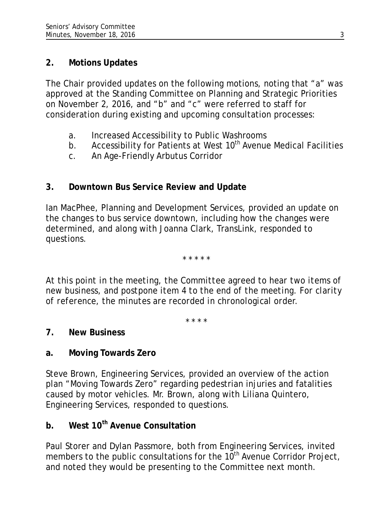### **2. Motions Updates**

The Chair provided updates on the following motions, noting that "a" was approved at the Standing Committee on Planning and Strategic Priorities on November 2, 2016, and "b" and "c" were referred to staff for consideration during existing and upcoming consultation processes:

- a. Increased Accessibility to Public Washrooms
- b. Accessibility for Patients at West  $10<sup>th</sup>$  Avenue Medical Facilities
- c. An Age-Friendly Arbutus Corridor

## **3. Downtown Bus Service Review and Update**

Ian MacPhee, Planning and Development Services, provided an update on the changes to bus service downtown, including how the changes were determined, and along with Joanna Clark, TransLink, responded to questions.

*\* \* \* \* \**

*At this point in the meeting, the Committee agreed to hear two items of new business, and postpone item 4 to the end of the meeting. For clarity of reference, the minutes are recorded in chronological order.*

*\* \* \* \**

## **7. New Business**

## **a. Moving Towards Zero**

Steve Brown, Engineering Services, provided an overview of the action plan "Moving Towards Zero" regarding pedestrian injuries and fatalities caused by motor vehicles. Mr. Brown, along with Liliana Quintero, Engineering Services, responded to questions.

# **b. West 10th Avenue Consultation**

Paul Storer and Dylan Passmore, both from Engineering Services, invited members to the public consultations for the  $10^{th}$  Avenue Corridor Project, and noted they would be presenting to the Committee next month.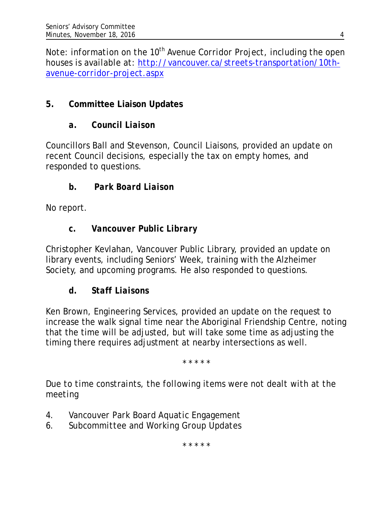*Note: information on the 10<sup>th</sup> Avenue Corridor Project, including the open houses is available at: [http://vancouver.ca/streets-transportation/10th](http://vancouver.ca/streets-transportation/10th-avenue-corridor-project.aspx)[avenue-corridor-project.aspx](http://vancouver.ca/streets-transportation/10th-avenue-corridor-project.aspx)*

# **5. Committee Liaison Updates**

# *a. Council Liaison*

Councillors Ball and Stevenson, Council Liaisons, provided an update on recent Council decisions, especially the tax on empty homes, and responded to questions.

# *b. Park Board Liaison*

No report.

# *c. Vancouver Public Library*

Christopher Kevlahan, Vancouver Public Library, provided an update on library events, including Seniors' Week, training with the Alzheimer Society, and upcoming programs. He also responded to questions.

# *d. Staff Liaisons*

Ken Brown, Engineering Services, provided an update on the request to increase the walk signal time near the Aboriginal Friendship Centre, noting that the time will be adjusted, but will take some time as adjusting the timing there requires adjustment at nearby intersections as well.

\* \* \* \* \*

*Due to time constraints, the following items were not dealt with at the meeting*

- *4. Vancouver Park Board Aquatic Engagement*
- *6. Subcommittee and Working Group Updates*

\* \* \* \* \*